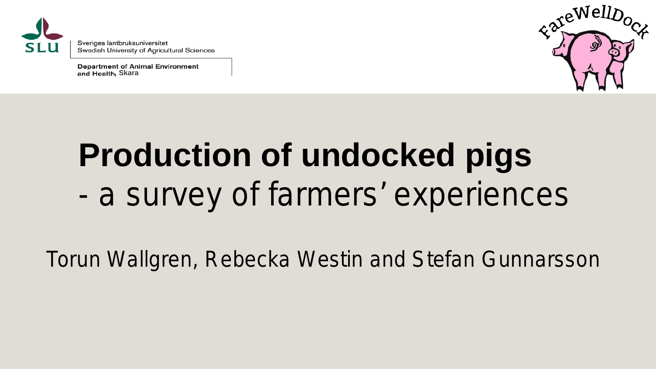

Sveriges lantbruksuniversitet Swedish University of Agricultural Sciences

**Department of Animal Environment** and Health, Skara



### **Production of undocked pigs** *- a survey of farmers' experiences*

Torun Wallgren, Rebecka Westin and Stefan Gunnarsson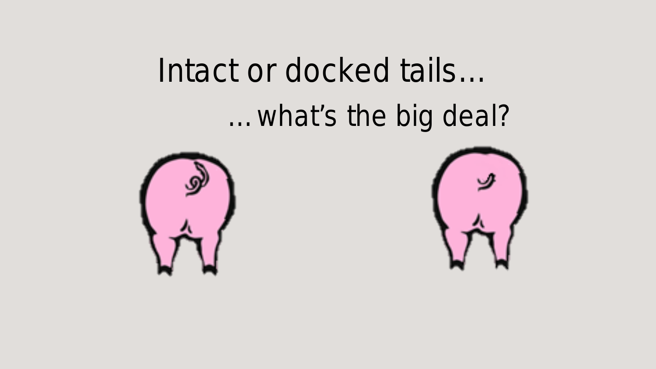#### Intact or docked tails…

*…what's the big deal?*



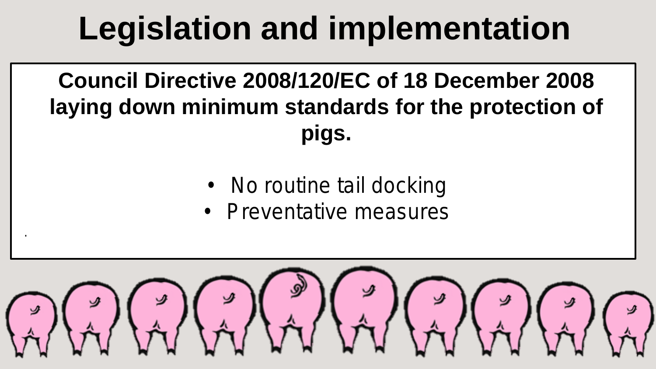### **Legislation and implementation**

**Council Directive 2008/120/EC of 18 December 2008 laying down minimum standards for the protection of pigs.**

- No routine tail docking
- Preventative measures

.

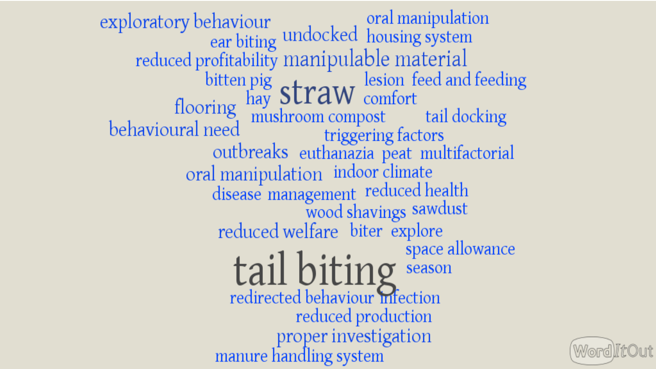exploratory behaviour ear biting undocked housing system<br>reduced profitability manipulable material Franced profitability inamplement like the dand feeding<br>bitten pig Straw lesion feed and feeding<br>flooring mushroom compost tail docking<br>behavioural need triggering factors<br>outbreaks euthanazia peat multifactorial oral manipulation indoor climate<br>disease management reduced health wood shavings sawdust reduced welfare biter explore tail biting season reduced production proper investigation manure handling system

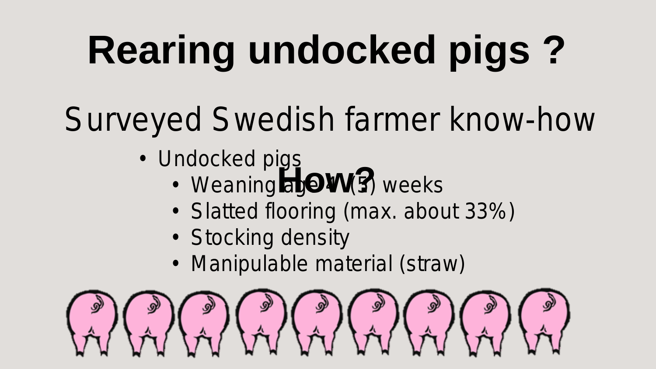# **Rearing undocked pigs ?**

### Surveyed Swedish farmer know-how

- Undocked pigs
	- **How3** • Weaning age **W**(5) weeks
	- Slatted flooring (max. about 33%)
	- Stocking density
	- Manipulable material (straw)

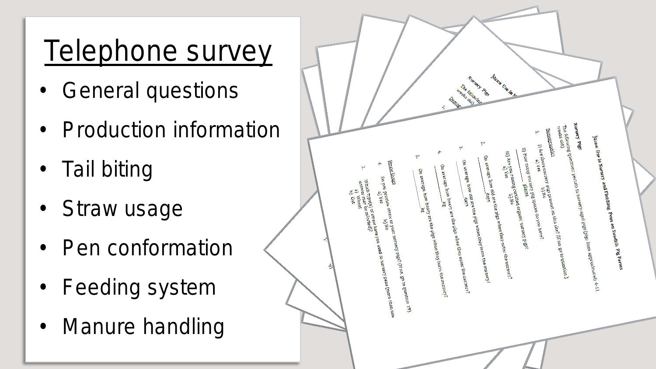#### Telephone survey

- General questions
- Production information
- Tail biting
- Straw usage
- Pen conformation
- Feeding system
- Manure handling

|   |   |                                                                                                                                                                                                                                                              | ₹                                                                                          | Nursey Pies<br>The following<br>weeks old)<br>Demos                                                                                                                                                                   | <b>Buan Use In N</b>                                                                                                                                                                                                                      |                                                                                                                                                                                                                                                                                                                                                                                                                                                                                                                                                                                                                                                                                                                                            |                                                                                   |  |
|---|---|--------------------------------------------------------------------------------------------------------------------------------------------------------------------------------------------------------------------------------------------------------------|--------------------------------------------------------------------------------------------|-----------------------------------------------------------------------------------------------------------------------------------------------------------------------------------------------------------------------|-------------------------------------------------------------------------------------------------------------------------------------------------------------------------------------------------------------------------------------------|--------------------------------------------------------------------------------------------------------------------------------------------------------------------------------------------------------------------------------------------------------------------------------------------------------------------------------------------------------------------------------------------------------------------------------------------------------------------------------------------------------------------------------------------------------------------------------------------------------------------------------------------------------------------------------------------------------------------------------------------|-----------------------------------------------------------------------------------|--|
| n |   | Straw Lisage<br>ዎ<br>÷,<br>Do you provide straw to your nursery plag? (If no go to question 19)<br>Do you provide straw to you<br>Which type (3 of stream have you used in nursery peak function<br>Which type (3 of stream)<br>any very need of )<br>b) Oat | ٠<br>ĥ,<br>On average, how heavy are the plig, when they leave the nursery?<br>On average, | h.<br>ب<br>On average, how old are the play when they leave the nursery?<br>On average, how old are the play when they leave the nursery?<br>On average how beavy are the pigs when they enter the unrestry? $\Omega$ | ۳<br>ii) How many nursery plg spaces do you have?<br>ii)<br>$\sin\alpha$ you taking earlified organic nursery pigs<br>$\sin\alpha$ iii are $\sin\alpha$ is also<br>On average, how old are the pigs when they enter the nursery? $\alpha$ | Nursery Pigs<br>The following questions pertain to nursery-sged pigs them approximately $\pm$ 11 The following questions pertain to nursery-sged pigs they from<br><b>Demographics</b><br>$\begin{array}{c} 0\\ 1\\ 0\\ 1\\ \end{array} \text{ are the unit series of } \begin{array}{c} 0\\ 0\\ 0\\ 1\\ \end{array} \text{ and the first terms of } \begin{array}{c} 0\\ 0\\ 0\\ 0\\ \end{array} \text{ is the unit series of } \begin{array}{c} 0\\ 0\\ 0\\ \end{array} \text{ is the unit series of } \begin{array}{c} 0\\ 0\\ 0\\ \end{array} \text{ is the unit series of } \begin{array}{c} 0\\ 0\\ 0\\ \end{array} \text{ is the unit series of } \begin{array}{c} 0\\ 0\\ \end{array} \text{ is the unit series of } \begin{array$ | $\beta$ and $\beta$ and Finishirg Pens on Swedish Pig Farms parameters of $\beta$ |  |
|   | り |                                                                                                                                                                                                                                                              |                                                                                            |                                                                                                                                                                                                                       |                                                                                                                                                                                                                                           |                                                                                                                                                                                                                                                                                                                                                                                                                                                                                                                                                                                                                                                                                                                                            |                                                                                   |  |

and the contract of the contract of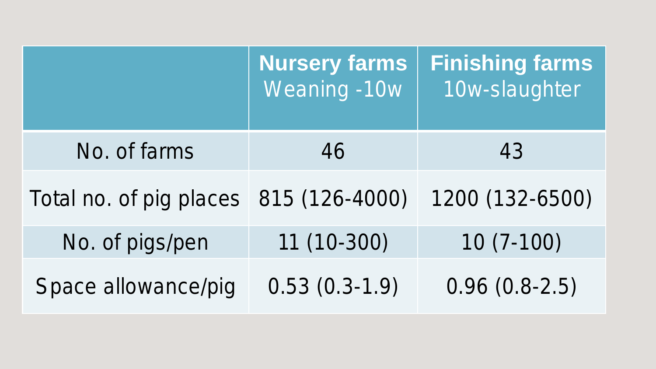|                                        | <b>Nursery farms</b><br>Weaning -10w | <b>Finishing farms</b><br>10w-slaughter |
|----------------------------------------|--------------------------------------|-----------------------------------------|
| No. of farms                           | 46                                   | 43                                      |
| Total no. of pig places 815 (126-4000) |                                      | 1200 (132-6500)                         |
| No. of pigs/pen                        | 11 (10-300)                          | $10(7-100)$                             |
| Space allowance/pig                    | $0.53(0.3-1.9)$                      | $0.96(0.8-2.5)$                         |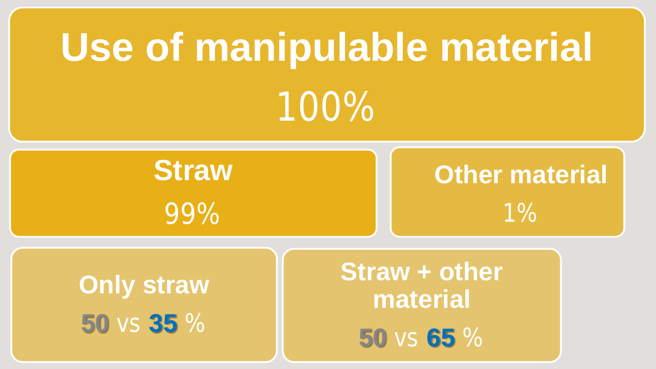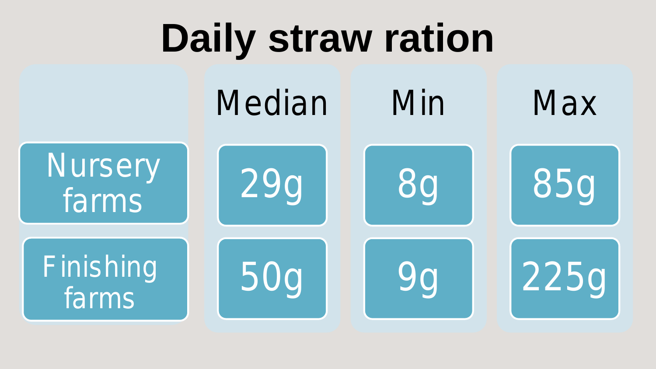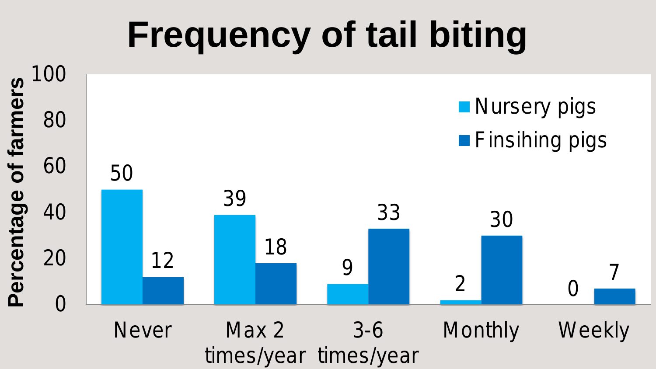### **Frequency of tail biting**

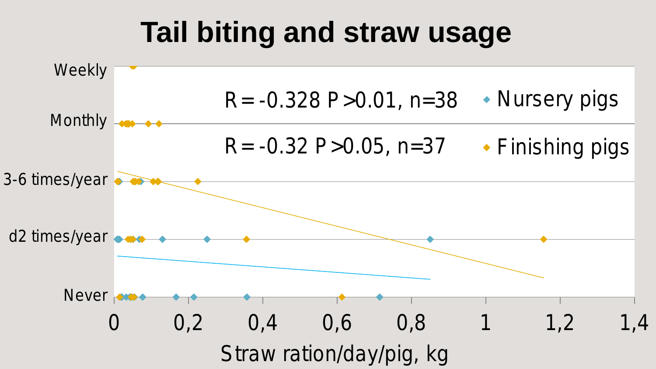#### **Tail biting and straw usage**

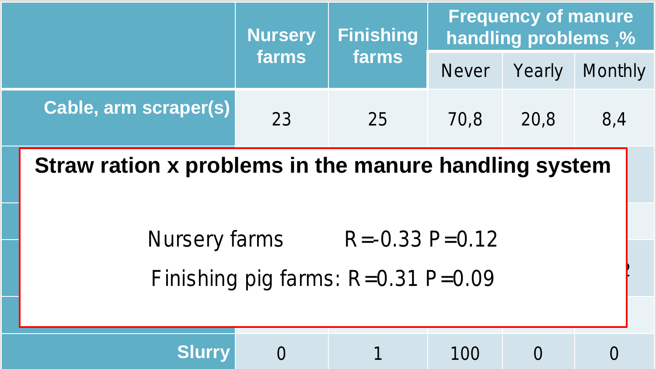|                                                       |                                            | <b>Nursery</b><br>farms | <b>Finishing</b> | <b>Frequency of manure</b><br>handling problems,% |        |         |  |  |  |
|-------------------------------------------------------|--------------------------------------------|-------------------------|------------------|---------------------------------------------------|--------|---------|--|--|--|
|                                                       |                                            |                         | farms            | <b>Never</b>                                      | Yearly | Monthly |  |  |  |
|                                                       | Cable, arm scraper(s)                      | 23                      | 25               | 70,8                                              | 20,8   | 8,4     |  |  |  |
| Straw ration x problems in the manure handling system |                                            |                         |                  |                                                   |        |         |  |  |  |
|                                                       | $R = -0.33$ P=0.12<br><b>Nursery farms</b> |                         |                  |                                                   |        |         |  |  |  |
| Finishing pig farms: $R=0.31$ P=0.09                  |                                            |                         |                  |                                                   |        |         |  |  |  |
|                                                       | <b>Slurry</b>                              |                         |                  | 100                                               |        |         |  |  |  |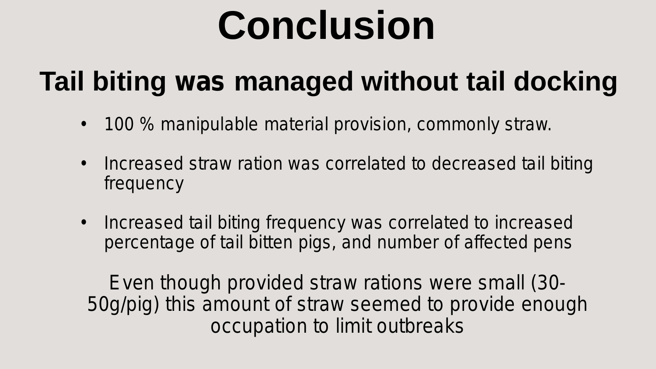## **Conclusion**

#### **Tail biting** *was* **managed without tail docking**

- 100 % manipulable material provision, commonly straw.
- Increased straw ration was correlated to decreased tail biting frequency
- Increased tail biting frequency was correlated to increased percentage of tail bitten pigs, and number of affected pens

*Even though provided straw rations were small (30- 50g/pig) this amount of straw seemed to provide enough occupation to limit outbreaks*